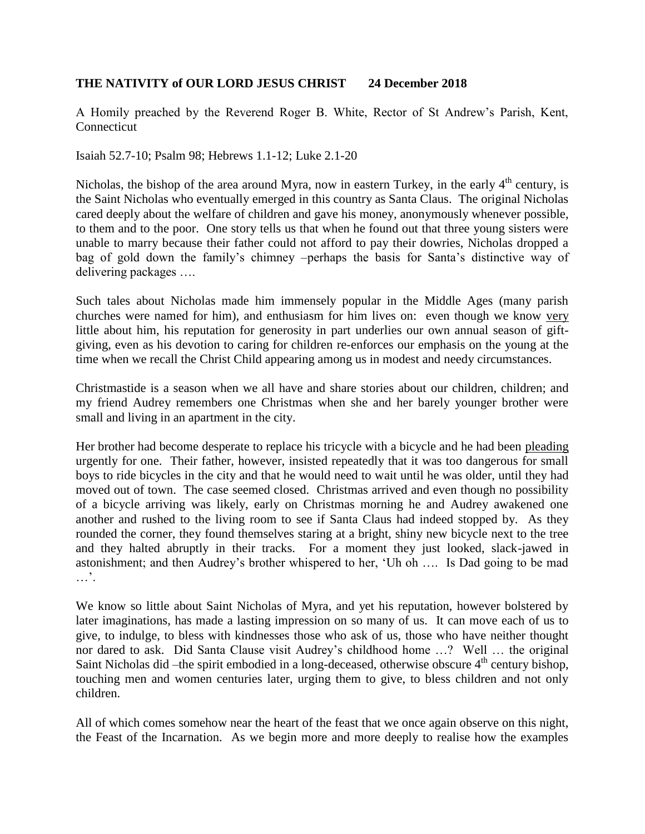## **THE NATIVITY of OUR LORD JESUS CHRIST 24 December 2018**

A Homily preached by the Reverend Roger B. White, Rector of St Andrew's Parish, Kent, Connecticut

Isaiah 52.7-10; Psalm 98; Hebrews 1.1-12; Luke 2.1-20

Nicholas, the bishop of the area around Myra, now in eastern Turkey, in the early  $4<sup>th</sup>$  century, is the Saint Nicholas who eventually emerged in this country as Santa Claus. The original Nicholas cared deeply about the welfare of children and gave his money, anonymously whenever possible, to them and to the poor. One story tells us that when he found out that three young sisters were unable to marry because their father could not afford to pay their dowries, Nicholas dropped a bag of gold down the family's chimney –perhaps the basis for Santa's distinctive way of delivering packages ….

Such tales about Nicholas made him immensely popular in the Middle Ages (many parish churches were named for him), and enthusiasm for him lives on: even though we know very little about him, his reputation for generosity in part underlies our own annual season of giftgiving, even as his devotion to caring for children re-enforces our emphasis on the young at the time when we recall the Christ Child appearing among us in modest and needy circumstances.

Christmastide is a season when we all have and share stories about our children, children; and my friend Audrey remembers one Christmas when she and her barely younger brother were small and living in an apartment in the city.

Her brother had become desperate to replace his tricycle with a bicycle and he had been pleading urgently for one. Their father, however, insisted repeatedly that it was too dangerous for small boys to ride bicycles in the city and that he would need to wait until he was older, until they had moved out of town. The case seemed closed. Christmas arrived and even though no possibility of a bicycle arriving was likely, early on Christmas morning he and Audrey awakened one another and rushed to the living room to see if Santa Claus had indeed stopped by. As they rounded the corner, they found themselves staring at a bright, shiny new bicycle next to the tree and they halted abruptly in their tracks. For a moment they just looked, slack-jawed in astonishment; and then Audrey's brother whispered to her, 'Uh oh …. Is Dad going to be mad …'.

We know so little about Saint Nicholas of Myra, and yet his reputation, however bolstered by later imaginations, has made a lasting impression on so many of us. It can move each of us to give, to indulge, to bless with kindnesses those who ask of us, those who have neither thought nor dared to ask. Did Santa Clause visit Audrey's childhood home …? Well … the original Saint Nicholas did –the spirit embodied in a long-deceased, otherwise obscure  $4<sup>th</sup>$  century bishop, touching men and women centuries later, urging them to give, to bless children and not only children.

All of which comes somehow near the heart of the feast that we once again observe on this night, the Feast of the Incarnation. As we begin more and more deeply to realise how the examples